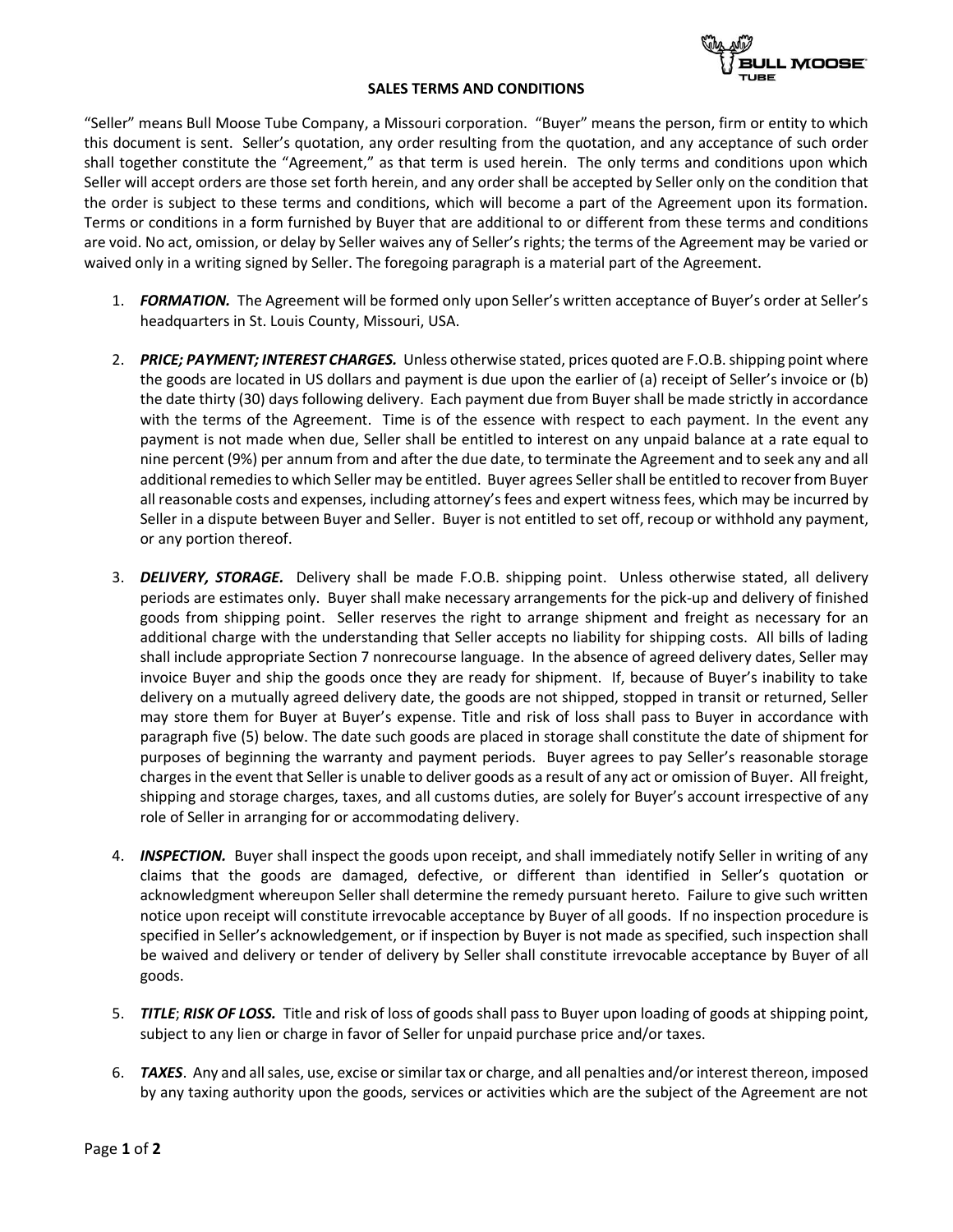## **SALES TERMS AND CONDITIONS**



"Seller" means Bull Moose Tube Company, a Missouri corporation. "Buyer" means the person, firm or entity to which this document is sent. Seller's quotation, any order resulting from the quotation, and any acceptance of such order shall together constitute the "Agreement," as that term is used herein. The only terms and conditions upon which Seller will accept orders are those set forth herein, and any order shall be accepted by Seller only on the condition that the order is subject to these terms and conditions, which will become a part of the Agreement upon its formation. Terms or conditions in a form furnished by Buyer that are additional to or different from these terms and conditions are void. No act, omission, or delay by Seller waives any of Seller's rights; the terms of the Agreement may be varied or waived only in a writing signed by Seller. The foregoing paragraph is a material part of the Agreement.

- 1. *FORMATION.* The Agreement will be formed only upon Seller's written acceptance of Buyer's order at Seller's headquarters in St. Louis County, Missouri, USA.
- 2. *PRICE; PAYMENT; INTEREST CHARGES.* Unless otherwise stated, prices quoted are F.O.B. shipping point where the goods are located in US dollars and payment is due upon the earlier of (a) receipt of Seller's invoice or (b) the date thirty (30) days following delivery. Each payment due from Buyer shall be made strictly in accordance with the terms of the Agreement. Time is of the essence with respect to each payment. In the event any payment is not made when due, Seller shall be entitled to interest on any unpaid balance at a rate equal to nine percent (9%) per annum from and after the due date, to terminate the Agreement and to seek any and all additional remedies to which Seller may be entitled. Buyer agrees Seller shall be entitled to recover from Buyer all reasonable costs and expenses, including attorney's fees and expert witness fees, which may be incurred by Seller in a dispute between Buyer and Seller. Buyer is not entitled to set off, recoup or withhold any payment, or any portion thereof.
- 3. *DELIVERY, STORAGE.* Delivery shall be made F.O.B. shipping point. Unless otherwise stated, all delivery periods are estimates only. Buyer shall make necessary arrangements for the pick-up and delivery of finished goods from shipping point. Seller reserves the right to arrange shipment and freight as necessary for an additional charge with the understanding that Seller accepts no liability for shipping costs. All bills of lading shall include appropriate Section 7 nonrecourse language. In the absence of agreed delivery dates, Seller may invoice Buyer and ship the goods once they are ready for shipment. If, because of Buyer's inability to take delivery on a mutually agreed delivery date, the goods are not shipped, stopped in transit or returned, Seller may store them for Buyer at Buyer's expense. Title and risk of loss shall pass to Buyer in accordance with paragraph five (5) below. The date such goods are placed in storage shall constitute the date of shipment for purposes of beginning the warranty and payment periods. Buyer agrees to pay Seller's reasonable storage charges in the event that Seller is unable to deliver goods as a result of any act or omission of Buyer. All freight, shipping and storage charges, taxes, and all customs duties, are solely for Buyer's account irrespective of any role of Seller in arranging for or accommodating delivery.
- 4. **INSPECTION.** Buyer shall inspect the goods upon receipt, and shall immediately notify Seller in writing of any claims that the goods are damaged, defective, or different than identified in Seller's quotation or acknowledgment whereupon Seller shall determine the remedy pursuant hereto. Failure to give such written notice upon receipt will constitute irrevocable acceptance by Buyer of all goods. If no inspection procedure is specified in Seller's acknowledgement, or if inspection by Buyer is not made as specified, such inspection shall be waived and delivery or tender of delivery by Seller shall constitute irrevocable acceptance by Buyer of all goods.
- 5. *TITLE*; *RISK OF LOSS.* Title and risk of loss of goods shall pass to Buyer upon loading of goods at shipping point, subject to any lien or charge in favor of Seller for unpaid purchase price and/or taxes.
- 6. *TAXES*. Any and all sales, use, excise or similar tax or charge, and all penalties and/or interest thereon, imposed by any taxing authority upon the goods, services or activities which are the subject of the Agreement are not